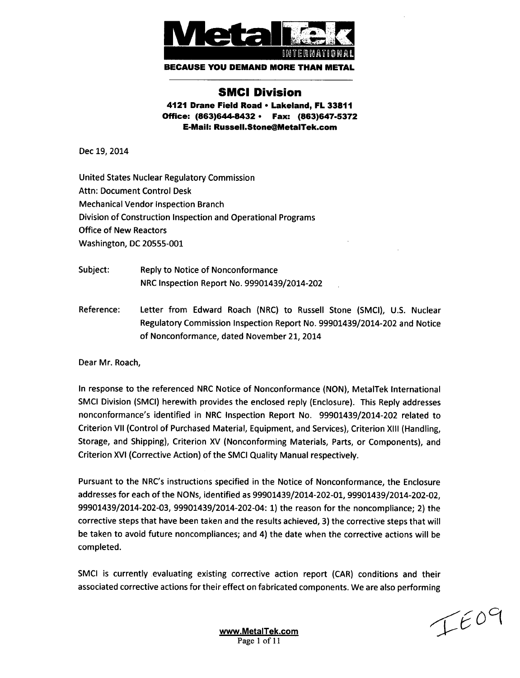

**BECAUSE YOU DEMAND** MORE **THAN** METAL

# **SMCI** Division

4121 Drane Field Road **\*** Lakeland, FL **33811** Office: (863)644-8432 **\*** Fax: **(863)647-5372** E-Mail: Russell.Stone@MetalTek.com

Dec 19, 2014

United States Nuclear Regulatory Commission Attn: Document Control Desk Mechanical Vendor Inspection Branch Division of Construction Inspection and Operational Programs Office of New Reactors Washington, DC 20555-001

- Subject: Reply to Notice of Nonconformance NRC Inspection Report No. 99901439/2014-202
- Reference: Letter from Edward Roach (NRC) to Russell Stone (SMCI), U.S. Nuclear Regulatory Commission Inspection Report No. 99901439/2014-202 and Notice of Nonconformance, dated November 21, 2014

Dear Mr. Roach,

In response to the referenced NRC Notice of Nonconformance (NON), MetalTek International SMCI Division (SMCI) herewith provides the enclosed reply (Enclosure). This Reply addresses nonconformance's identified in NRC Inspection Report No. 99901439/2014-202 related to Criterion VII (Control of Purchased Material, Equipment, and Services), Criterion XI1I (Handling, Storage, and Shipping), Criterion XV (Nonconforming Materials, Parts, or Components), and Criterion XVI (Corrective Action) of the SMCI Quality Manual respectively.

Pursuant to the NRC's instructions specified in the Notice of Nonconformance, the Enclosure addresses for each of the NONs, identified as 99901439/2014-202-01, 99901439/2014-202-02, 99901439/2014-202-03, 99901439/2014-202-04: 1) the reason for the noncompliance; 2) the corrective steps that have been taken and the results achieved, 3) the corrective steps that will be taken to avoid future noncompliances; and 4) the date when the corrective actions will be completed.

SMCI is currently evaluating existing corrective action report (CAR) conditions and their associated corrective actions for their effect on fabricated components. We are also performing

 $IECQ$ 

www.MetalTek.com Page 1 of **I I**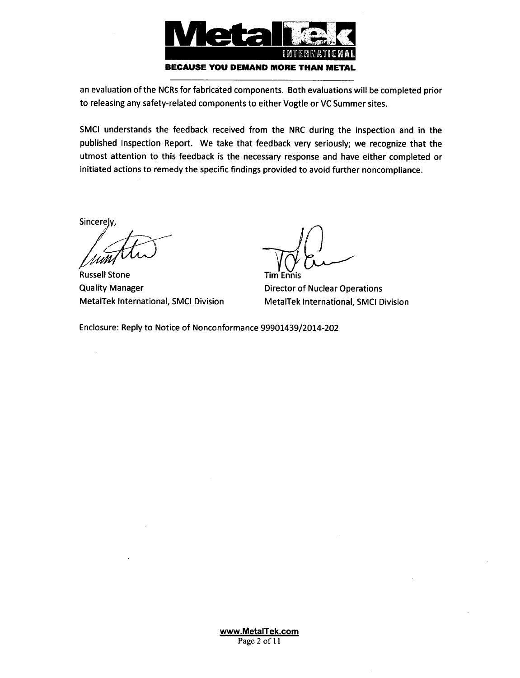

an evaluation of the NCRs for fabricated components. Both evaluations will be completed prior to releasing any safety-related components to either Vogtle or VC Summer sites.

SMCI understands the feedback received from the NRC during the inspection and in the published Inspection Report. We take that feedback very seriously; we recognize that the utmost attention to this feedback is the necessary response and have either completed or initiated actions to remedy the specific findings provided to avoid further noncompliance.

Sincerely,

 $\bar{z}$ 

Russell Stone Quality Manager MetalTek International, SMCI Division

Tim Ennis

Director of Nuclear Operations MetalTek International, SMCI Division

Enclosure: Reply to Notice of Nonconformance 99901439/2014-202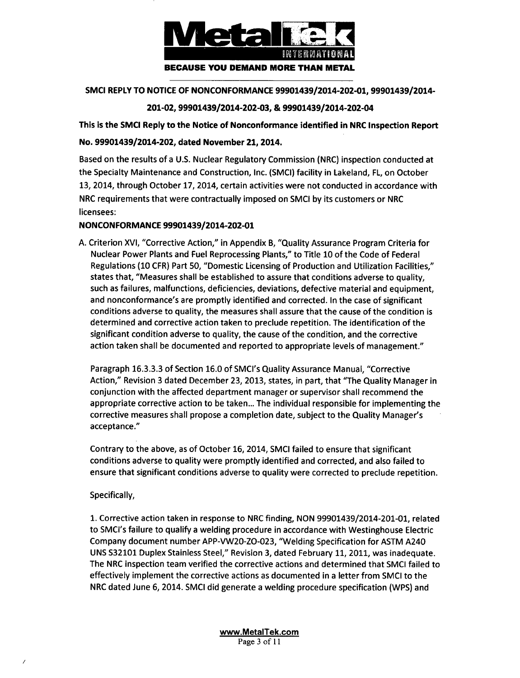

## SMCI REPLY TO NOTICE OF NONCONFORMANCE 99901439/2014-202-01, 99901439/2014-

## 201-02, 99901439/2014-202-03, & 99901439/2014-202-04

This is the SMCI Reply to the Notice of Nonconformance identified in NRC Inspection Report No. 99901439/2014-202, dated November 21, 2014.

Based on the results of a U.S. Nuclear Regulatory Commission (NRC) inspection conducted at the Specialty Maintenance and Construction, Inc. (SMCI) facility in Lakeland, FL, on October 13, 2014, through October 17, 2014, certain activities were not conducted in accordance with NRC requirements that were contractually imposed on SMCI by its customers or NRC licensees:

## NONCONFORMANCE 99901439/2014-202-01

A. Criterion XVI, "Corrective Action," in Appendix B, "Quality Assurance Program Criteria for Nuclear Power Plants and Fuel Reprocessing Plants," to Title 10 of the Code of Federal Regulations (10 CFR) Part 50, "Domestic Licensing of Production and Utilization Facilities," states that, "Measures shall be established to assure that conditions adverse to quality, such as failures, malfunctions, deficiencies, deviations, defective material and equipment, and nonconformance's are promptly identified and corrected. In the case of significant conditions adverse to quality, the measures shall assure that the cause of the condition is determined and corrective action taken to preclude repetition. The identification of the significant condition adverse to quality, the cause of the condition, and the corrective action taken shall be documented and reported to appropriate levels of management."

Paragraph 16.3.3.3 of Section 16.0 of SMCI's Quality Assurance Manual, "Corrective Action," Revision 3 dated December 23, 2013, states, in part, that "The Quality Manager in conjunction with the affected department manager or supervisor shall recommend the appropriate corrective action to be taken... The individual responsible for implementing the corrective measures shall propose a completion date, subject to the Quality Manager's acceptance."

Contrary to the above, as of October 16, 2014, SMCI failed to ensure that significant conditions adverse to quality were promptly identified and corrected, and also failed to ensure that significant conditions adverse to quality were corrected to preclude repetition.

## Specifically,

1. Corrective action taken in response to NRC finding, NON 99901439/2014-201-01, related to SMCI's failure to qualify a welding procedure in accordance with Westinghouse Electric Company document number APP-VW20-ZO-023, "Welding Specification for ASTM A240 UNS S32101 Duplex Stainless Steel," Revision 3, dated February 11, 2011, was inadequate. The NRC inspection team verified the corrective actions and determined that SMCI failed to effectively implement the corrective actions as documented in a letter from SMCI to the NRC dated June 6, 2014. SMCI did generate a welding procedure specification (WPS) and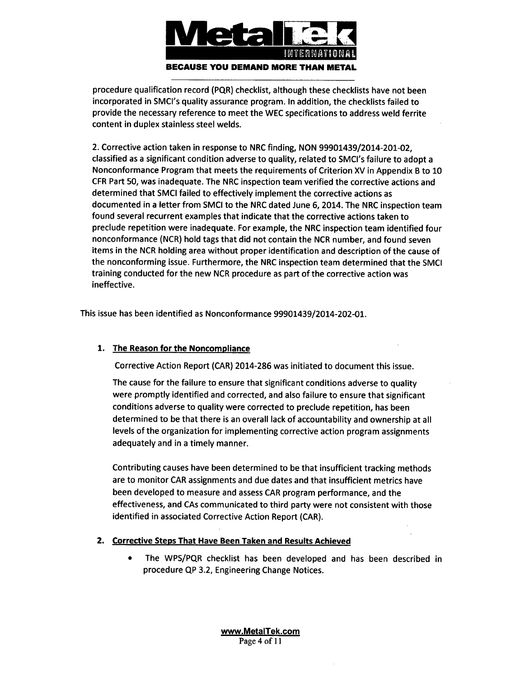

procedure qualification record (PQR) checklist, although these checklists have not been incorporated in SMCI's quality assurance program. In addition, the checklists failed to provide the necessary reference to meet the WEC specifications to address weld ferrite content in duplex stainless steel welds.

2. Corrective action taken in response to NRC finding, NON 99901439/2014-201-02, classified as a significant condition adverse to quality, related to SMCI's failure to adopt a Nonconformance Program that meets the requirements of Criterion XV in Appendix B to 10 CFR Part 50, was inadequate. The NRC inspection team verified the corrective actions and determined that SMCI failed to effectively implement the corrective actions as documented in a letter from SMCI to the NRC dated June 6, 2014. The NRC inspection team found several recurrent examples that indicate that the corrective actions taken to preclude repetition were inadequate. For example, the NRC inspection team identified four nonconformance (NCR) hold tags that did not contain the NCR number, and found seven items in the NCR holding area without proper identification and description of the cause of the nonconforming issue. Furthermore, the NRC inspection team determined that the SMCI training conducted for the new NCR procedure as part of the corrective action was ineffective.

This issue has been identified as Nonconformance 99901439/2014-202-01.

# 1. The Reason for the Noncompliance

Corrective Action Report (CAR) 2014-286 was initiated to document this issue.

The cause for the failure to ensure that significant conditions adverse to quality were promptly identified and corrected, and also failure to ensure that significant conditions adverse to quality were corrected to preclude repetition, has been determined to be that there is an overall lack of accountability and ownership at all levels of the organization for implementing corrective action program assignments adequately and in a timely manner.

Contributing causes have been determined to be that insufficient tracking methods are to monitor CAR assignments and due dates and that insufficient metrics have been developed to measure and assess CAR program performance, and the effectiveness, and CAs communicated to third party were not consistent with those identified in associated Corrective Action Report (CAR).

## 2. Corrective Steps That Have Been Taken and Results Achieved

\* The WPS/PQR checklist has been developed and has been described in procedure **QP** 3.2, Engineering Change Notices.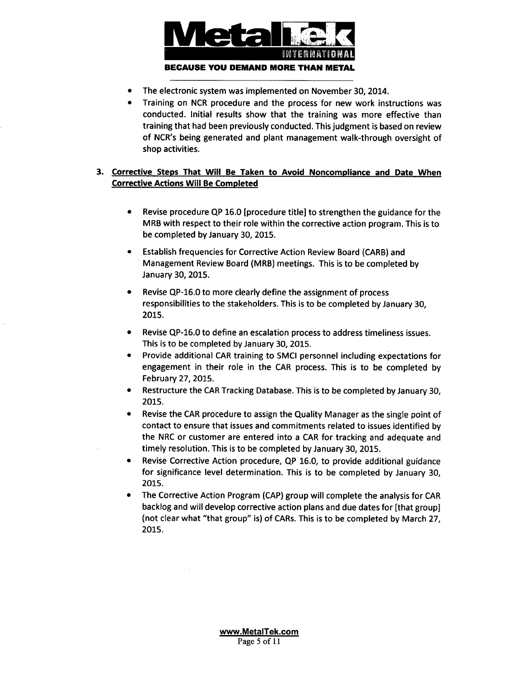

- **"** The electronic system was implemented on November 30, 2014.
- Training on NCR procedure and the process for new work instructions was conducted. Initial results show that the training was more effective than training that had been previously conducted. This judgment is based on review of NCR's being generated and plant management walk-through oversight of shop activities.

## **3.** Corrective Steps That Will Be Taken to Avoid Noncompliance and Date When Corrective Actions Will Be Completed

- \* Revise procedure **QP** 16.0 [procedure title] to strengthen the guidance for the MRB with respect to their role within the corrective action program. This is to be completed by January 30, 2015.
- Establish frequencies for Corrective Action Review Board (CARB) and Management Review Board (MRB) meetings. This is to be completed by January 30, 2015.
- **"** Revise QP-16.0 to more clearly define the assignment of process responsibilities to the stakeholders. This is to be completed by January 30, 2015.
- Revise QP-16.0 to define an escalation process to address timeliness issues. This is to be completed by January 30, 2015.
- Provide additional CAR training to SMCI personnel including expectations for engagement in their role in the CAR process. This is to be completed by February 27, 2015.
- Restructure the CAR Tracking Database. This is to be completed by January 30, 2015.
- Revise the CAR procedure to assign the Quality Manager as the single point of contact to ensure that issues and commitments related to issues identified by the NRC or customer are entered into a CAR for tracking and adequate and timely resolution. This is to be completed by January 30, 2015.
- \* Revise Corrective Action procedure, **QP** 16.0, to provide additional guidance for significance level determination. This is to be completed by January 30, 2015.
- The Corrective Action Program (CAP) group will complete the analysis for CAR backlog and will develop corrective action plans and due dates for [that group] (not clear what "that group" is) of CARs. This is to be completed by March 27, 2015.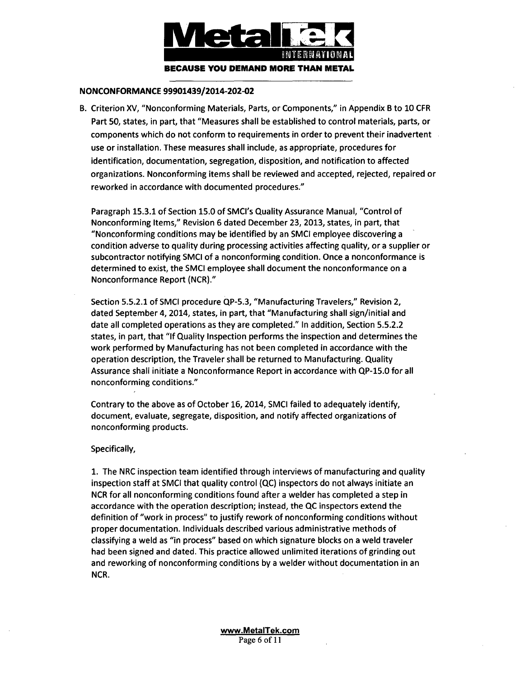

#### **NONCONFORMANCE** 99901439/2014-202-02

B. Criterion XV, "Nonconforming Materials, Parts, or Components," in Appendix B to 10 CFR Part 50, states, in part, that "Measures shall be established to control materials, parts, or components which do not conform to requirements in order to prevent their inadvertent use or installation. These measures shall include, as appropriate, procedures for identification, documentation, segregation, disposition, and notification to affected organizations. Nonconforming items shall be reviewed and accepted, rejected, repaired or reworked in accordance with documented procedures."

Paragraph 15.3.1 of Section 15.0 of SMCI's Quality Assurance Manual, "Control of Nonconforming Items," Revision 6 dated December 23, 2013, states, in part, that "Nonconforming conditions may be identified by an SMCI employee discovering a condition adverse to quality during processing activities affecting quality, or a supplier or subcontractor notifying SMCI of a nonconforming condition. Once a nonconformance is determined to exist, the SMCI employee shall document the nonconformance on a Nonconformance Report (NCR)."

Section 5.5.2.1 of SMCI procedure QP-5.3, "Manufacturing Travelers," Revision 2, dated September 4, 2014, states, in part, that "Manufacturing shall sign/initial and date all completed operations as they are completed." In addition, Section 5.5.2.2 states, in part, that "If Quality Inspection performs the inspection and determines the work performed by Manufacturing has not been completed in accordance with the operation description, the Traveler shall be returned to Manufacturing. Quality Assurance shall initiate a Nonconformance Report in accordance with QP-15.0 for all nonconforming conditions."

Contrary to the above as of October 16, 2014, SMCI failed to adequately identify, document, evaluate, segregate, disposition, and notify affected organizations of nonconforming products.

#### Specifically,

**1.** The NRC inspection team identified through interviews of manufacturing and quality inspection staff at SMCI that quality control (QC) inspectors do not always initiate an NCR for all nonconforming conditions found after a welder has completed a step in accordance with the operation description; instead, the **QC** inspectors extend the definition of "work in process" to justify rework of nonconforming conditions without proper documentation. Individuals described various administrative methods of classifying a weld as "in process" based on which signature blocks on a weld traveler had been signed and dated. This practice allowed unlimited iterations of grinding out and reworking of nonconforming conditions by a welder without documentation in an NCR.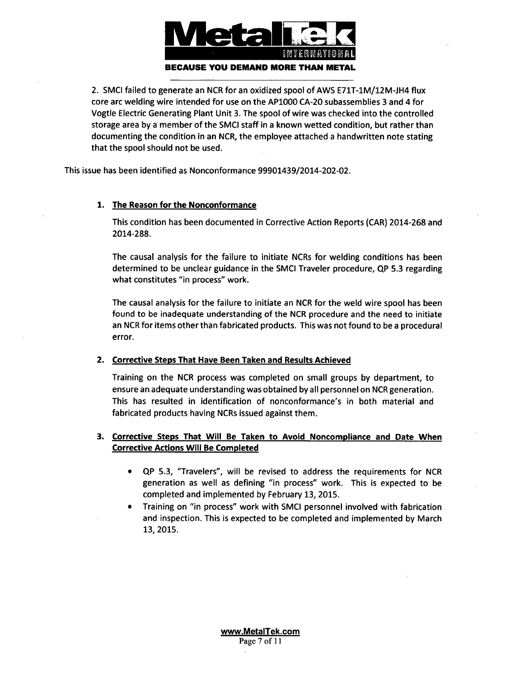

2. SMCI failed to generate an NCR for an oxidized spool of AWS E71T-1M/12M-JH4 flux core arc welding wire intended for use on the AP1000 CA-20 subassemblies 3 and 4 for Vogtle Electric Generating Plant Unit 3. The spool of wire was checked into the controlled storage area by a member of the SMCI staff in a known wetted condition, but rather than documenting the condition in an NCR, the employee attached a handwritten note stating that the spool should not be used.

This issue has been identified as Nonconformance 99901439/2014-202-02.

## 1. The Reason for the Nonconformance

This condition has been documented in Corrective Action Reports (CAR) 2014-268 and 2014-288.

The causal analysis for the failure to initiate NCRs for welding conditions has been determined to be unclear guidance in the SMCI Traveler procedure, **QP** 5.3 regarding what constitutes "in process" work.

The causal analysis for the failure to initiate an NCR for the weld wire spool has been found to be inadequate understanding of the NCR procedure and the need to initiate an NCR for items other than fabricated products. This was not found to be a procedural error.

## 2. Corrective Steps That Have Been Taken and Results Achieved

Training on the NCR process was completed on small groups by department, to ensure an adequate understanding was obtained by all personnel on NCR generation. This has resulted in identification of nonconformance's in both material and fabricated products having NCRs issued against them.

## **3.** Corrective Steps That Will Be Taken to Avoid Noncompliance and Date When Corrective Actions Will Be Completed

- \* QP 5.3, "Travelers", will be revised to address the requirements for NCR generation as well as defining "in process" work. This is expected to be completed and implemented by February 13, 2015.
- \* Training on "in process" work with SMCI personnel involved with fabrication and inspection. This is expected to be completed and implemented by March 13, 2015.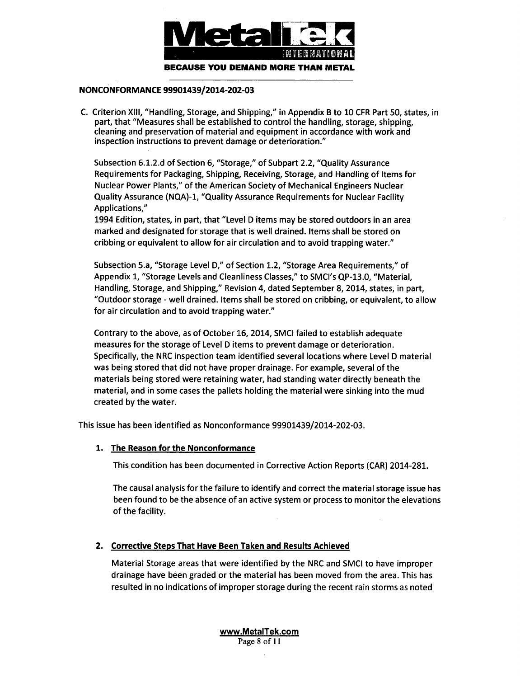

#### NONCONFORMANCE 99901439/2014-202-03

C. Criterion XIII, "Handling, Storage, and Shipping," in Appendix B to 10 CFR Part 50, states, in part, that "Measures shall be established to control the handling, storage, shipping, cleaning and preservation of material and equipment in accordance with work and inspection instructions to prevent damage or deterioration."

Subsection 6.1.2.d of Section 6, "Storage," of Subpart 2.2, "Quality Assurance Requirements for Packaging, Shipping, Receiving, Storage, and Handling of Items for Nuclear Power Plants," of the American Society of Mechanical Engineers Nuclear Quality Assurance (NQA)-I, "Quality Assurance Requirements for Nuclear Facility Applications,"

1994 Edition, states, in part, that "Level D items may be stored outdoors in an area marked and designated for storage that is well drained. Items shall be stored on cribbing or equivalent to allow for air circulation and to avoid trapping water."

Subsection 5.a, "Storage Level D," of Section 1.2, "Storage Area Requirements," of Appendix 1, "Storage Levels and Cleanliness Classes," to SMCI's QP-13.0, "Material, Handling, Storage, and Shipping," Revision 4, dated September 8, 2014, states, in part, "Outdoor storage - well drained. Items shall be stored on cribbing, or equivalent, to allow for air circulation and to avoid trapping water."

Contrary to the above, as of October 16, 2014, SMCI failed to establish adequate measures for the storage of Level D items to prevent damage or deterioration. Specifically, the NRC inspection team identified several locations where Level D material was being stored that did not have proper drainage. For example, several of the materials being stored were retaining water, had standing water directly beneath the material, and in some cases the pallets holding the material were sinking into the mud created by the water.

This issue has been identified as Nonconformance 99901439/2014-202-03.

## 1. The Reason for the Nonconformance

This condition has been documented in Corrective Action Reports (CAR) 2014-281.

The causal analysis for the failure to identify and correct the material storage issue has been found to be the absence of an active system or process to monitor the elevations of the facility.

## 2. Corrective Steps That Have Been Taken and Results Achieved

Material Storage areas that were identified by the NRC and SMCI to have improper drainage have been graded or the material has been moved from the area. This has resulted in no indications of improper storage during the recent rain storms as noted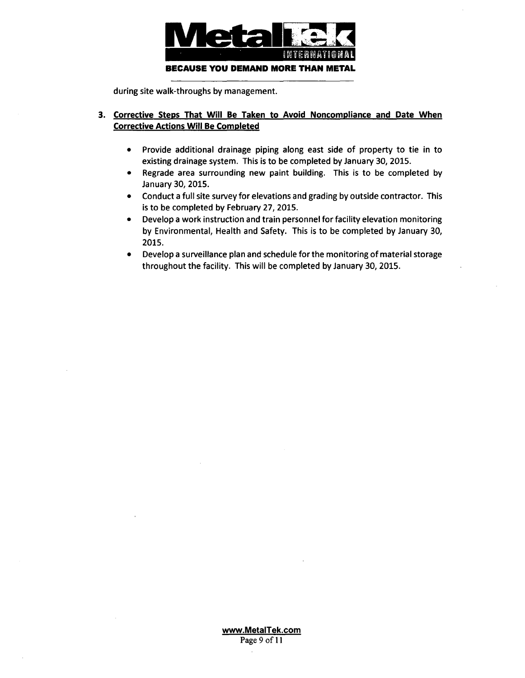

during site walk-throughs **by** management.

## **3.** Corrective Steps That Will Be Taken to Avoid Noncompliance and Date When Corrective Actions Will Be Completed

- **"** Provide additional drainage piping along east side of property to tie in to existing drainage system. This is to be completed **by** January **30, 2015.**
- **"** Regrade area surrounding new paint building. This is to be completed **by** January **30, 2015.**
- **"** Conduct a full site survey for elevations and grading **by** outside contractor. This is to be completed **by** February **27, 2015.**
- **"** Develop a work instruction and train personnel for facility elevation monitoring **by** Environmental, Health and Safety. This is to be completed **by** January **30, 2015.**
- **"** Develop a surveillance plan and schedule for the monitoring of material storage throughout the facility. This will be completed **by** January **30, 2015.**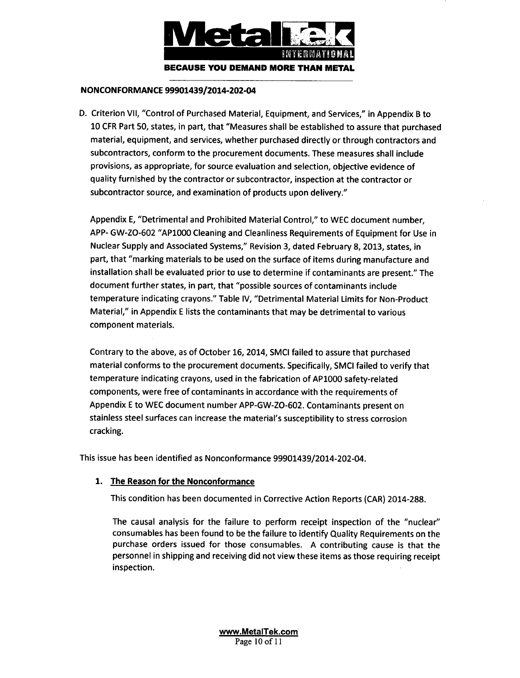

#### NONCONFORMANCE 99901439/2014-202-04

D. Criterion VII, "Control of Purchased Material, Equipment, and Services," in Appendix B to 10 CFR Part 50, states, in part, that "Measures shall be established to assure that purchased material, equipment, and services, whether purchased directly or through contractors and subcontractors, conform to the procurement documents. These measures shall include provisions, as appropriate, for source evaluation and selection, objective evidence of quality furnished by the contractor or subcontractor, inspection at the contractor or subcontractor source, and examination of products upon delivery."

Appendix E, "Detrimental and Prohibited Material Control," to WEC document number, APP- GW-ZO-602 "AP1000 Cleaning and Cleanliness Requirements of Equipment for Use in Nuclear Supply and Associated Systems," Revision 3, dated February 8, 2013, states, in part, that "marking materials to be used on the surface of items during manufacture and installation shall be evaluated prior to use to determine if contaminants are present." The document further states, in part, that "possible sources of contaminants include temperature indicating crayons." Table IV, "Detrimental Material Limits for Non-Product Material," in Appendix E lists the contaminants that may be detrimental to various component materials.

Contrary to the above, as of October 16, 2014, SMCI failed to assure that purchased material conforms to the procurement documents. Specifically, SMCI failed to verify that temperature indicating crayons, used in the fabrication of AP1000 safety-related components, were free of contaminants in accordance with the requirements of Appendix E to WEC document number APP-GW-ZO-602. Contaminants present on stainless steel surfaces can increase the material's susceptibility to stress corrosion cracking.

This issue has been identified as Nonconformance 99901439/2014-202-04.

## 1. The Reason for the Nonconformance

This condition has been documented in Corrective Action Reports (CAR) 2014-288.

The causal analysis for the failure to perform receipt inspection of the "nuclear" consumables has been found to be the failure to identify Quality Requirements on the purchase orders issued for those consumables. A contributing cause is that the personnel in shipping and receiving did not view these items as those requiring receipt inspection.